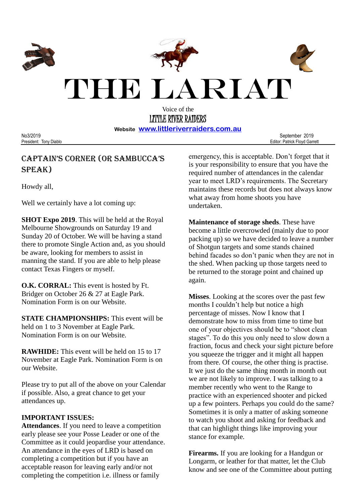

**Website [www.littleriverraiders.com.au](http://www.littleriverraiders.com.au/)**

No3/2019 September 2019

# CAPTAIN'S CORNER (OR SAMBUCCA'S SPEAK)

Howdy all,

Well we certainly have a lot coming up:

**SHOT Expo 2019**. This will be held at the Royal Melbourne Showgrounds on Saturday 19 and Sunday 20 of October. We will be having a stand there to promote Single Action and, as you should be aware, looking for members to assist in manning the stand. If you are able to help please contact Texas Fingers or myself.

**O.K. CORRAL:** This event is hosted by Ft. Bridger on October 26 & 27 at Eagle Park. Nomination Form is on our Website.

**STATE CHAMPIONSHIPS:** This event will be held on 1 to 3 November at Eagle Park. Nomination Form is on our Website.

**RAWHIDE:** This event will be held on 15 to 17 November at Eagle Park. Nomination Form is on our Website.

Please try to put all of the above on your Calendar if possible. Also, a great chance to get your attendances up.

#### **IMPORTANT ISSUES:**

**Attendances**. If you need to leave a competition early please see your Posse Leader or one of the Committee as it could jeopardise your attendance. An attendance in the eyes of LRD is based on completing a competition but if you have an acceptable reason for leaving early and/or not completing the competition i.e. illness or family

emergency, this is acceptable. Don't forget that it is your responsibility to ensure that you have the required number of attendances in the calendar year to meet LRD's requirements. The Secretary maintains these records but does not always know what away from home shoots you have undertaken.

**Editor: Patrick Floyd Garrett** 

**Maintenance of storage sheds**. These have become a little overcrowded (mainly due to poor packing up) so we have decided to leave a number of Shotgun targets and some stands chained behind facades so don't panic when they are not in the shed. When packing up those targets need to be returned to the storage point and chained up again.

**Misses**. Looking at the scores over the past few months I couldn't help but notice a high percentage of misses. Now I know that I demonstrate how to miss from time to time but one of your objectives should be to "shoot clean stages". To do this you only need to slow down a fraction, focus and check your sight picture before you squeeze the trigger and it might all happen from there. Of course, the other thing is practise. It we just do the same thing month in month out we are not likely to improve. I was talking to a member recently who went to the Range to practice with an experienced shooter and picked up a few pointers. Perhaps you could do the same? Sometimes it is only a matter of asking someone to watch you shoot and asking for feedback and that can highlight things like improving your stance for example.

**Firearms.** If you are looking for a Handgun or Longarm, or leather for that matter, let the Club know and see one of the Committee about putting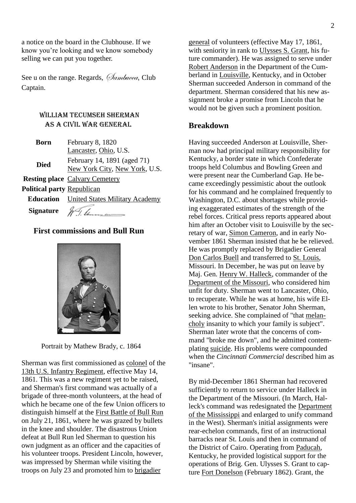a notice on the board in the Clubhouse. If we know you're looking and we know somebody selling we can put you together.

See u on the range. Regards,  $\mathscr{D}$ ambucca, Club Captain.

#### William Tecumseh Sherman AS A CIVIL WAR GENERAL

| Born                              | February 8, 1820<br>Lancaster, Ohio, U.S.                    |
|-----------------------------------|--------------------------------------------------------------|
| <b>Died</b>                       | February 14, 1891 (aged 71)<br>New York City, New York, U.S. |
|                                   | <b>Resting place</b> Calvary Cemetery                        |
| <b>Political party Republican</b> |                                                              |
| <b>Education</b>                  | <b>United States Military Academy</b>                        |
| <b>Signature</b>                  |                                                              |

### **First commissions and Bull Run**



Portrait by Mathew Brady, c. 1864

Sherman was first commissioned as [colonel](https://en.wikipedia.org/wiki/Colonel_(United_States)) of the [13th U.S. Infantry Regiment,](https://en.wikipedia.org/wiki/13th_Infantry_Regiment_(United_States)) effective May 14, 1861. This was a new regiment yet to be raised, and Sherman's first command was actually of a brigade of three-month volunteers, at the head of which he became one of the few Union officers to distinguish himself at the [First Battle of Bull Run](https://en.wikipedia.org/wiki/First_Battle_of_Bull_Run) on July 21, 1861, where he was grazed by bullets in the knee and shoulder. The disastrous Union defeat at Bull Run led Sherman to question his own judgment as an officer and the capacities of his volunteer troops. President Lincoln, however, was impressed by Sherman while visiting the troops on July 23 and promoted him to [brigadier](https://en.wikipedia.org/wiki/Brigadier_general_(United_States)) 

[general](https://en.wikipedia.org/wiki/Brigadier_general_(United_States)) of volunteers (effective May 17, 1861, with seniority in rank to [Ulysses S. Grant,](https://en.wikipedia.org/wiki/Ulysses_S._Grant) his future commander). He was assigned to serve under [Robert Anderson](https://en.wikipedia.org/wiki/Robert_Anderson_(Civil_War)) in the Department of the Cumberland in [Louisville,](https://en.wikipedia.org/wiki/Louisville,_Kentucky) Kentucky, and in October Sherman succeeded Anderson in command of the department. Sherman considered that his new assignment broke a promise from Lincoln that he

would not be given such a prominent position.

#### **Breakdown**

Having succeeded Anderson at Louisville, Sherman now had principal military responsibility for Kentucky, a border state in which Confederate troops held Columbus and Bowling Green and were present near the Cumberland Gap. He became exceedingly pessimistic about the outlook for his command and he complained frequently to Washington, D.C. about shortages while providing exaggerated estimates of the strength of the rebel forces. Critical press reports appeared about him after an October visit to Louisville by the secretary of war, [Simon Cameron,](https://en.wikipedia.org/wiki/Simon_Cameron) and in early November 1861 Sherman insisted that he be relieved. He was promptly replaced by Brigadier General [Don Carlos Buell](https://en.wikipedia.org/wiki/Don_Carlos_Buell) and transferred to [St. Louis,](https://en.wikipedia.org/wiki/St._Louis,_Missouri) Missouri. In December, he was put on leave by Maj. Gen. [Henry W. Halleck,](https://en.wikipedia.org/wiki/Henry_W._Halleck) commander of the [Department of the Missouri,](https://en.wikipedia.org/wiki/Department_of_the_Missouri) who considered him unfit for duty. Sherman went to Lancaster, Ohio, to recuperate. While he was at home, his wife Ellen wrote to his brother, Senator John Sherman, seeking advice. She complained of "that [melan](https://en.wikipedia.org/wiki/Melancholia_(temperament))[choly](https://en.wikipedia.org/wiki/Melancholia_(temperament)) insanity to which your family is subject". Sherman later wrote that the concerns of command "broke me down", and he admitted contemplating [suicide.](https://en.wikipedia.org/wiki/Suicide) His problems were compounded when the *Cincinnati Commercial* described him as "insane".

By mid-December 1861 Sherman had recovered sufficiently to return to service under Halleck in the Department of the Missouri. (In March, Halleck's command was redesignated the [Department](https://en.wikipedia.org/w/index.php?title=Department_of_the_Mississippi&action=edit&redlink=1)  [of the Mississippi](https://en.wikipedia.org/w/index.php?title=Department_of_the_Mississippi&action=edit&redlink=1) and enlarged to unify command in the West). Sherman's initial assignments were rear-echelon commands, first of an instructional barracks near St. Louis and then in command of the District of Cairo. Operating from [Paducah,](https://en.wikipedia.org/wiki/Paducah,_Kentucky) Kentucky, he provided logistical support for the operations of Brig. Gen. Ulysses S. Grant to capture [Fort Donelson](https://en.wikipedia.org/wiki/Battle_of_Fort_Donelson) (February 1862). Grant, the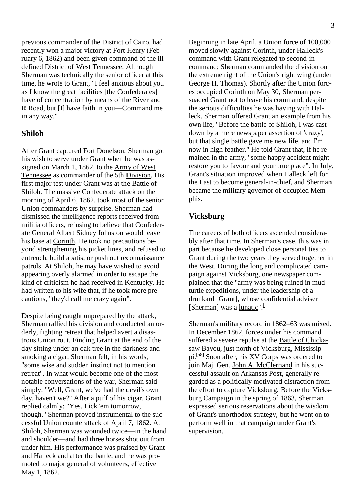previous commander of the District of Cairo, had recently won a major victory at [Fort Henry](https://en.wikipedia.org/wiki/Battle_of_Fort_Henry) (February 6, 1862) and been given command of the illdefined [District of West Tennessee.](https://en.wikipedia.org/wiki/District_of_West_Tennessee) Although Sherman was technically the senior officer at this time, he wrote to Grant, "I feel anxious about you as I know the great facilities [the Confederates] have of concentration by means of the River and R Road, but [I] have faith in you—Command me in any way."

#### **Shiloh**

After Grant captured Fort Donelson, Sherman got his wish to serve under Grant when he was assigned on March 1, 1862, to the [Army of West](https://en.wikipedia.org/wiki/Army_of_West_Tennessee)  [Tennessee](https://en.wikipedia.org/wiki/Army_of_West_Tennessee) as commander of the 5th [Division.](https://en.wikipedia.org/wiki/Division_(military)) His first major test under Grant was at the [Battle of](https://en.wikipedia.org/wiki/Battle_of_Shiloh)  [Shiloh.](https://en.wikipedia.org/wiki/Battle_of_Shiloh) The massive Confederate attack on the morning of April 6, 1862, took most of the senior Union commanders by surprise. Sherman had dismissed the intelligence reports received from militia officers, refusing to believe that Confederate General [Albert Sidney Johnston](https://en.wikipedia.org/wiki/Albert_Sidney_Johnston) would leave his base at [Corinth.](https://en.wikipedia.org/wiki/Corinth,_Mississippi) He took no precautions beyond strengthening his picket lines, and refused to entrench, build [abatis,](https://en.wikipedia.org/wiki/Abatis) or push out reconnaissance patrols. At Shiloh, he may have wished to avoid appearing overly alarmed in order to escape the kind of criticism he had received in Kentucky. He had written to his wife that, if he took more precautions, "they'd call me crazy again".

Despite being caught unprepared by the attack, Sherman rallied his division and conducted an orderly, fighting retreat that helped avert a disastrous Union rout. Finding Grant at the end of the day sitting under an oak tree in the darkness and smoking a cigar, Sherman felt, in his words, "some wise and sudden instinct not to mention retreat". In what would become one of the most notable conversations of the war, Sherman said simply: "Well, Grant, we've had the devil's own day, haven't we?" After a puff of his cigar, Grant replied calmly: "Yes. Lick 'em tomorrow, though." Sherman proved instrumental to the successful Union counterattack of April 7, 1862. At Shiloh, Sherman was wounded twice—in the hand and shoulder—and had three horses shot out from under him. His performance was praised by Grant and Halleck and after the battle, and he was promoted to [major general](https://en.wikipedia.org/wiki/Major_General#United_States) of volunteers, effective May 1, 1862.

Beginning in late April, a Union force of 100,000 moved slowly against [Corinth,](https://en.wikipedia.org/wiki/Siege_of_Corinth) under Halleck's command with Grant relegated to second-incommand; Sherman commanded the division on the extreme right of the Union's right wing (under George H. Thomas). Shortly after the Union forces occupied Corinth on May 30, Sherman persuaded Grant not to leave his command, despite the serious difficulties he was having with Halleck. Sherman offered Grant an example from his own life, "Before the battle of Shiloh, I was cast down by a mere newspaper assertion of 'crazy', but that single battle gave me new life, and I'm now in high feather." He told Grant that, if he remained in the army, "some happy accident might restore you to favour and your true place". In July, Grant's situation improved when Halleck left for the East to become general-in-chief, and Sherman became the military governor of occupied Memphis.

#### **Vicksburg**

The careers of both officers ascended considerably after that time. In Sherman's case, this was in part because he developed close personal ties to Grant during the two years they served together in the West. During the long and complicated campaign against Vicksburg, one newspaper complained that the "army was being ruined in mudturtle expeditions, under the leadership of a drunkard [Grant], whose confidential adviser [Sherman] was a [lunatic"](https://en.wikipedia.org/wiki/Lunatic).<sup>[1]</sup>

Sherman's military record in 1862–63 was mixed. In December 1862, forces under his command suffered a severe repulse at the [Battle of Chicka](https://en.wikipedia.org/wiki/Battle_of_Chickasaw_Bayou)[saw Bayou,](https://en.wikipedia.org/wiki/Battle_of_Chickasaw_Bayou) just north of [Vicksburg,](https://en.wikipedia.org/wiki/Vicksburg,_Mississippi) Mississippi.[\[58\]](https://en.wikipedia.org/wiki/William_Tecumseh_Sherman#cite_note-58) Soon after, his [XV Corps](https://en.wikipedia.org/wiki/XV_Corps_(ACW)) was ordered to join Maj. Gen. [John A. McClernand](https://en.wikipedia.org/wiki/John_A._McClernand) in his successful assault on [Arkansas Post,](https://en.wikipedia.org/wiki/Battle_of_Arkansas_Post) generally regarded as a politically motivated distraction from the effort to capture Vicksburg. Before the [Vicks](https://en.wikipedia.org/wiki/Vicksburg_Campaign)[burg Campaign](https://en.wikipedia.org/wiki/Vicksburg_Campaign) in the spring of 1863, Sherman expressed serious reservations about the wisdom of Grant's unorthodox strategy, but he went on to perform well in that campaign under Grant's supervision.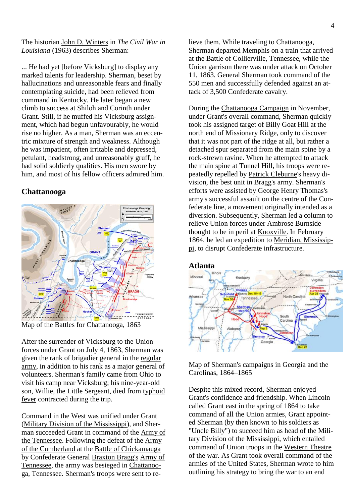The historian [John D. Winters](https://en.wikipedia.org/wiki/John_D._Winters) in *The Civil War in Louisiana* (1963) describes Sherman:

... He had yet [before Vicksburg] to display any marked talents for leadership. Sherman, beset by hallucinations and unreasonable fears and finally contemplating suicide, had been relieved from command in Kentucky. He later began a new climb to success at Shiloh and Corinth under Grant. Still, if he muffed his Vicksburg assignment, which had begun unfavourably, he would rise no higher. As a man, Sherman was an eccentric mixture of strength and weakness. Although he was impatient, often irritable and depressed, petulant, headstrong, and unreasonably gruff, he had solid soldierly qualities. His men swore by him, and most of his fellow officers admired him.

#### **Chattanooga**



Map of the Battles for Chattanooga, 1863

After the surrender of Vicksburg to the Union forces under Grant on July 4, 1863, Sherman was given the rank of brigadier general in the [regular](https://en.wikipedia.org/wiki/Regular_Army_(United_States))  [army,](https://en.wikipedia.org/wiki/Regular_Army_(United_States)) in addition to his rank as a major general of volunteers. Sherman's family came from Ohio to visit his camp near Vicksburg; his nine-year-old son, Willie, the Little Sergeant, died from [typhoid](https://en.wikipedia.org/wiki/Typhoid_fever)  [fever](https://en.wikipedia.org/wiki/Typhoid_fever) contracted during the trip.

Command in the West was unified under Grant [\(Military Division of the Mississippi\)](https://en.wikipedia.org/wiki/Military_Division_of_the_Mississippi), and Sherman succeeded Grant in command of the [Army of](https://en.wikipedia.org/wiki/Army_of_the_Tennessee)  [the Tennessee.](https://en.wikipedia.org/wiki/Army_of_the_Tennessee) Following the defeat of the [Army](https://en.wikipedia.org/wiki/Army_of_the_Cumberland)  [of the Cumberland](https://en.wikipedia.org/wiki/Army_of_the_Cumberland) at the [Battle of Chickamauga](https://en.wikipedia.org/wiki/Battle_of_Chickamauga) by Confederate General [Braxton Bragg's](https://en.wikipedia.org/wiki/Braxton_Bragg) [Army of](https://en.wikipedia.org/wiki/Army_of_Tennessee)  [Tennessee,](https://en.wikipedia.org/wiki/Army_of_Tennessee) the army was besieged in [Chattanoo](https://en.wikipedia.org/wiki/Chattanooga,_Tennessee)[ga, Tennessee.](https://en.wikipedia.org/wiki/Chattanooga,_Tennessee) Sherman's troops were sent to relieve them. While traveling to Chattanooga, Sherman departed Memphis on a train that arrived at the [Battle of Collierville,](https://en.wikipedia.org/wiki/First_Battle_of_Collierville) Tennessee, while the Union garrison there was under attack on October 11, 1863. General Sherman took command of the 550 men and successfully defended against an attack of 3,500 Confederate cavalry.

During the [Chattanooga Campaign](https://en.wikipedia.org/wiki/Chattanooga_Campaign) in November, under Grant's overall command, Sherman quickly took his assigned target of Billy Goat Hill at the north end of Missionary Ridge, only to discover that it was not part of the ridge at all, but rather a detached spur separated from the main spine by a rock-strewn ravine. When he attempted to attack the main spine at Tunnel Hill, his troops were repeatedly repelled by [Patrick Cleburne'](https://en.wikipedia.org/wiki/Patrick_Cleburne)s heavy division, the best unit in Bragg's army. Sherman's efforts were assisted by [George Henry Thomas's](https://en.wikipedia.org/wiki/George_Henry_Thomas) army's successful assault on the centre of the Confederate line, a movement originally intended as a diversion. Subsequently, Sherman led a column to relieve Union forces under [Ambrose Burnside](https://en.wikipedia.org/wiki/Ambrose_Burnside) thought to be in peril at [Knoxville.](https://en.wikipedia.org/wiki/Knoxville_Campaign) In February 1864, he led an expedition to [Meridian, Mississip](https://en.wikipedia.org/wiki/Battle_of_Meridian)[pi,](https://en.wikipedia.org/wiki/Battle_of_Meridian) to disrupt Confederate infrastructure.



Map of Sherman's campaigns in Georgia and the Carolinas, 1864–1865

Despite this mixed record, Sherman enjoyed Grant's confidence and friendship. When Lincoln called Grant east in the spring of 1864 to take command of all the Union armies, Grant appointed Sherman (by then known to his soldiers as "Uncle Billy") to succeed him as head of the [Mili](https://en.wikipedia.org/wiki/Military_Division_of_the_Mississippi)[tary Division of the Mississippi,](https://en.wikipedia.org/wiki/Military_Division_of_the_Mississippi) which entailed command of Union troops in the [Western Theatre](https://en.wikipedia.org/wiki/Western_Theater_of_the_American_Civil_War) of the war. As Grant took overall command of the armies of the United States, Sherman wrote to him outlining his strategy to bring the war to an end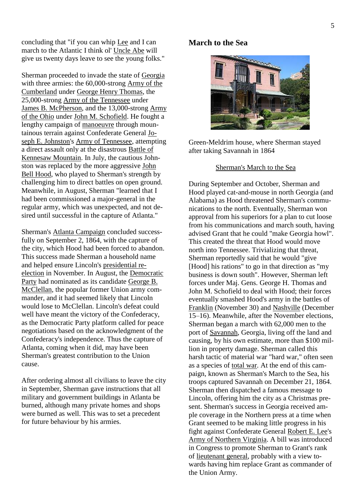concluding that "if you can whip [Lee](https://en.wikipedia.org/wiki/Robert_E._Lee) and I can march to the Atlantic I think ol' [Uncle Abe](https://en.wikipedia.org/wiki/Abraham_Lincoln) will give us twenty days leave to see the young folks."

Sherman proceeded to invade the state of [Georgia](https://en.wikipedia.org/wiki/Georgia_(U.S._state)) with three armies: the 60,000-strong [Army of the](https://en.wikipedia.org/wiki/Army_of_the_Cumberland)  [Cumberland](https://en.wikipedia.org/wiki/Army_of_the_Cumberland) under [George Henry Thomas,](https://en.wikipedia.org/wiki/George_Henry_Thomas) the 25,000-strong [Army of the Tennessee](https://en.wikipedia.org/wiki/Army_of_the_Tennessee) under [James B. McPherson,](https://en.wikipedia.org/wiki/James_B._McPherson) and the 13,000-strong [Army](https://en.wikipedia.org/wiki/Army_of_the_Ohio)  [of the Ohio](https://en.wikipedia.org/wiki/Army_of_the_Ohio) under [John M. Schofield.](https://en.wikipedia.org/wiki/John_M._Schofield) He fought a lengthy campaign of [manoeuvre](https://en.wikipedia.org/wiki/Flanking_maneuver) through mountainous terrain against Confederate General [Jo](https://en.wikipedia.org/wiki/Joseph_E._Johnston)[seph E. Johnston'](https://en.wikipedia.org/wiki/Joseph_E._Johnston)s [Army of Tennessee,](https://en.wikipedia.org/wiki/Army_of_Tennessee) attempting a direct assault only at the disastrous [Battle of](https://en.wikipedia.org/wiki/Battle_of_Kennesaw_Mountain)  [Kennesaw Mountain.](https://en.wikipedia.org/wiki/Battle_of_Kennesaw_Mountain) In July, the cautious Johnston was replaced by the more aggressive [John](https://en.wikipedia.org/wiki/John_Bell_Hood)  [Bell Hood,](https://en.wikipedia.org/wiki/John_Bell_Hood) who played to Sherman's strength by challenging him to direct battles on open ground. Meanwhile, in August, Sherman "learned that I had been commissioned a major-general in the regular army, which was unexpected, and not desired until successful in the capture of Atlanta."

Sherman's [Atlanta Campaign](https://en.wikipedia.org/wiki/Atlanta_Campaign) concluded successfully on September 2, 1864, with the capture of the city, which Hood had been forced to abandon. This success made Sherman a household name and helped ensure Lincoln's [presidential re](https://en.wikipedia.org/wiki/1864_United_States_presidential_election)[election](https://en.wikipedia.org/wiki/1864_United_States_presidential_election) in November. In August, the [Democratic](https://en.wikipedia.org/wiki/Democratic_Party_(United_States))  [Party](https://en.wikipedia.org/wiki/Democratic_Party_(United_States)) had nominated as its candidate [George B.](https://en.wikipedia.org/wiki/George_B._McClellan)  [McClellan,](https://en.wikipedia.org/wiki/George_B._McClellan) the popular former Union army commander, and it had seemed likely that Lincoln would lose to McClellan. Lincoln's defeat could well have meant the victory of the Confederacy, as the Democratic Party platform called for peace negotiations based on the acknowledgment of the Confederacy's independence. Thus the capture of Atlanta, coming when it did, may have been Sherman's greatest contribution to the Union cause.

After ordering almost all civilians to leave the city in September, Sherman gave instructions that all military and government buildings in Atlanta be burned, although many private homes and shops were burned as well. This was to set a precedent for future behaviour by his armies.

### **March to the Sea**



Green-Meldrim house, where Sherman stayed after taking Savannah in 1864

#### [Sherman's March to the Sea](https://en.wikipedia.org/wiki/Sherman%27s_March_to_the_Sea)

During September and October, Sherman and Hood played cat-and-mouse in north Georgia (and Alabama) as Hood threatened Sherman's communications to the north. Eventually, Sherman won approval from his superiors for a plan to cut loose from his communications and march south, having advised Grant that he could "make Georgia howl". This created the threat that Hood would move north into Tennessee. Trivializing that threat, Sherman reportedly said that he would "give [Hood] his rations" to go in that direction as "my business is down south". However, Sherman left forces under Maj. Gens. George H. Thomas and John M. Schofield to deal with Hood; their forces eventually smashed Hood's army in the battles of [Franklin](https://en.wikipedia.org/wiki/Second_Battle_of_Franklin) (November 30) and [Nashville](https://en.wikipedia.org/wiki/Battle_of_Nashville) (December 15–16). Meanwhile, after the November elections, Sherman began a march with 62,000 men to the port of [Savannah,](https://en.wikipedia.org/wiki/Savannah,_Georgia) Georgia, living off the land and causing, by his own estimate, more than \$100 million in property damage. Sherman called this harsh tactic of material war "hard war," often seen as a species of [total war.](https://en.wikipedia.org/wiki/Total_war) At the end of this campaign, known as Sherman's March to the Sea, his troops captured Savannah on December 21, 1864. Sherman then dispatched a famous message to Lincoln, offering him the city as a Christmas present. Sherman's success in Georgia received ample coverage in the Northern press at a time when Grant seemed to be making little progress in his fight against Confederate General [Robert E. Lee'](https://en.wikipedia.org/wiki/Robert_E._Lee)s [Army of Northern Virginia.](https://en.wikipedia.org/wiki/Army_of_Northern_Virginia) A bill was introduced in Congress to promote Sherman to Grant's rank of [lieutenant general,](https://en.wikipedia.org/wiki/Lieutenant_general_(United_States)) probably with a view towards having him replace Grant as commander of the Union Army.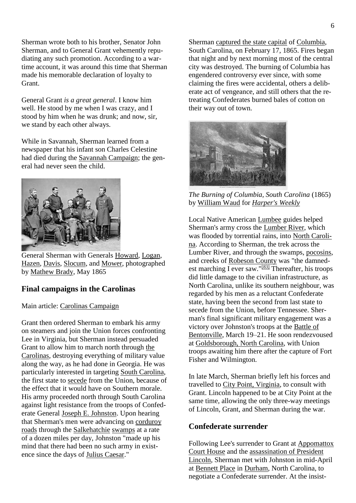Sherman wrote both to his brother, Senator John Sherman, and to General Grant vehemently repudiating any such promotion. According to a wartime account, it was around this time that Sherman made his memorable declaration of loyalty to Grant.

General Grant *is a great general*. I know him well. He stood by me when I was crazy, and I stood by him when he was drunk; and now, sir, we stand by each other always.

While in Savannah, Sherman learned from a newspaper that his infant son Charles Celestine had died during the [Savannah Campaign;](https://en.wikipedia.org/wiki/Savannah_Campaign) the general had never seen the child.



General Sherman with Generals [Howard,](https://en.wikipedia.org/wiki/Oliver_Otis_Howard) [Logan,](https://en.wikipedia.org/wiki/John_A._Logan) [Hazen,](https://en.wikipedia.org/wiki/William_Babcock_Hazen) [Davis,](https://en.wikipedia.org/wiki/Jefferson_C._Davis) [Slocum,](https://en.wikipedia.org/wiki/Henry_Warner_Slocum) and [Mower,](https://en.wikipedia.org/wiki/Joseph_A._Mower) photographed by [Mathew Brady,](https://en.wikipedia.org/wiki/Mathew_Brady) May 1865

#### **Final campaigns in the Carolinas**

Main article: [Carolinas Campaign](https://en.wikipedia.org/wiki/Carolinas_Campaign)

Grant then ordered Sherman to embark his army on steamers and join the Union forces confronting Lee in Virginia, but Sherman instead persuaded Grant to allow him to march north through [the](https://en.wikipedia.org/wiki/Carolinas_Campaign)  [Carolinas,](https://en.wikipedia.org/wiki/Carolinas_Campaign) destroying everything of military value along the way, as he had done in Georgia. He was particularly interested in targeting [South Carolina,](https://en.wikipedia.org/wiki/South_Carolina) the first state to [secede](https://en.wikipedia.org/wiki/Ordinance_of_Secession) from the Union, because of the effect that it would have on Southern morale. His army proceeded north through South Carolina against light resistance from the troops of Confederate General [Joseph E. Johnston.](https://en.wikipedia.org/wiki/Joseph_E._Johnston) Upon hearing that Sherman's men were advancing on [corduroy](https://en.wikipedia.org/wiki/Corduroy_road)  [roads](https://en.wikipedia.org/wiki/Corduroy_road) through the [Salkehatchie](https://en.wikipedia.org/wiki/Salkehatchie_River) [swamps](https://en.wikipedia.org/wiki/Swamp) at a rate of a dozen miles per day, Johnston "made up his mind that there had been no such army in existence since the days of [Julius Caesar.](https://en.wikipedia.org/wiki/Caesar%27s_Rhine_bridges)"

Sherman [captured the state capital](https://en.wikipedia.org/wiki/Capture_of_Columbia) of [Columbia,](https://en.wikipedia.org/wiki/Columbia,_South_Carolina) South Carolina, on February 17, 1865. Fires began that night and by next morning most of the central city was destroyed. The burning of Columbia has engendered controversy ever since, with some claiming the fires were accidental, others a deliberate act of vengeance, and still others that the retreating Confederates burned bales of cotton on their way out of town.



*The Burning of Columbia, South Carolina* (1865) by [William Waud](https://en.wikipedia.org/wiki/William_Waud) for *[Harper's Weekly](https://en.wikipedia.org/wiki/Harper%27s_Weekly)*

Local Native American [Lumbee](https://en.wikipedia.org/wiki/Lumbee) guides helped Sherman's army cross the [Lumber River,](https://en.wikipedia.org/wiki/Lumber_River) which was flooded by torrential rains, into [North Caroli](https://en.wikipedia.org/wiki/North_Carolina)[na.](https://en.wikipedia.org/wiki/North_Carolina) According to Sherman, the trek across the Lumber River, and through the swamps, [pocosins,](https://en.wikipedia.org/wiki/Pocosin) and creeks of [Robeson County](https://en.wikipedia.org/wiki/Robeson_County) was "the damned-est marching I ever saw."<sup>[\[83\]](https://en.wikipedia.org/wiki/William_Tecumseh_Sherman#cite_note-83)</sup> Thereafter, his troops did little damage to the civilian infrastructure, as North Carolina, unlike its southern neighbour, was regarded by his men as a reluctant Confederate state, having been the second from last state to secede from the Union, before Tennessee. Sherman's final significant military engagement was a victory over Johnston's troops at the [Battle of](https://en.wikipedia.org/wiki/Battle_of_Bentonville)  [Bentonville,](https://en.wikipedia.org/wiki/Battle_of_Bentonville) March 19–21. He soon rendezvoused at [Goldsborough, North Carolina,](https://en.wikipedia.org/wiki/Goldsboro,_North_Carolina) with Union troops awaiting him there after the capture of Fort Fisher and Wilmington.

In late March, Sherman briefly left his forces and travelled to [City Point, Virginia,](https://en.wikipedia.org/wiki/City_Point,_Virginia) to consult with Grant. Lincoln happened to be at City Point at the same time, allowing the only three-way meetings of Lincoln, Grant, and Sherman during the war.

#### **Confederate surrender**

Following Lee's surrender to Grant at [Appomattox](https://en.wikipedia.org/wiki/Appomattox_Court_House_National_Historical_Park)  [Court House](https://en.wikipedia.org/wiki/Appomattox_Court_House_National_Historical_Park) and the [assassination of President](https://en.wikipedia.org/wiki/Assassination_of_Abraham_Lincoln)  [Lincoln,](https://en.wikipedia.org/wiki/Assassination_of_Abraham_Lincoln) Sherman met with Johnston in mid-April at [Bennett Place](https://en.wikipedia.org/wiki/Bennett_Place) in [Durham,](https://en.wikipedia.org/wiki/Durham,_North_Carolina) North Carolina, to negotiate a Confederate surrender. At the insist